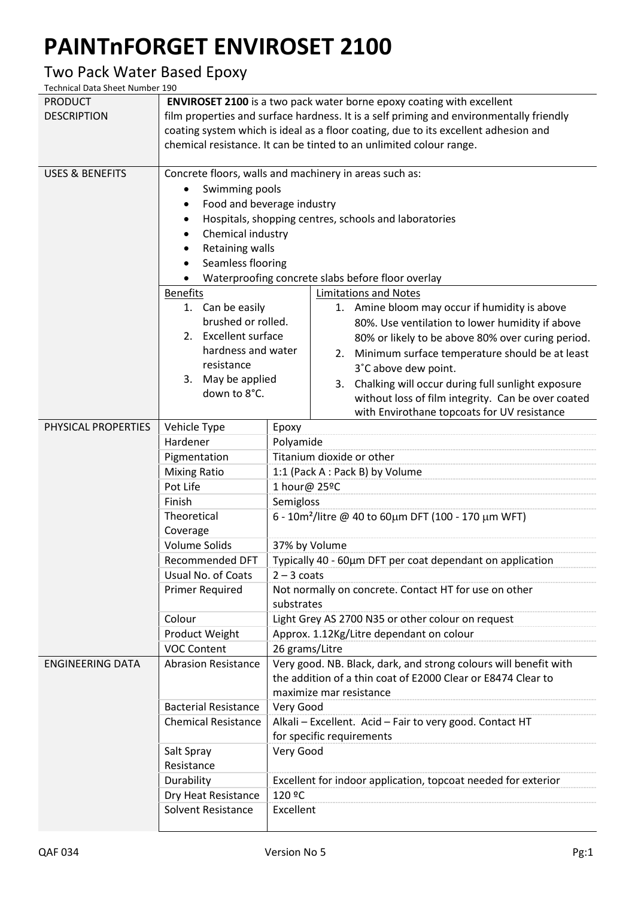## **PAINTnFORGET ENVIROSET 2100**

## Two Pack Water Based Epoxy

Technical Data Sheet Number 190

| <b>PRODUCT</b>             | <b>ENVIROSET 2100</b> is a two pack water borne epoxy coating with excellent            |                                                                                                                                            |  |  |  |  |  |  |
|----------------------------|-----------------------------------------------------------------------------------------|--------------------------------------------------------------------------------------------------------------------------------------------|--|--|--|--|--|--|
| <b>DESCRIPTION</b>         | film properties and surface hardness. It is a self priming and environmentally friendly |                                                                                                                                            |  |  |  |  |  |  |
|                            | coating system which is ideal as a floor coating, due to its excellent adhesion and     |                                                                                                                                            |  |  |  |  |  |  |
|                            |                                                                                         | chemical resistance. It can be tinted to an unlimited colour range.                                                                        |  |  |  |  |  |  |
|                            |                                                                                         |                                                                                                                                            |  |  |  |  |  |  |
| <b>USES &amp; BENEFITS</b> | Concrete floors, walls and machinery in areas such as:                                  |                                                                                                                                            |  |  |  |  |  |  |
|                            |                                                                                         | Swimming pools                                                                                                                             |  |  |  |  |  |  |
|                            |                                                                                         | Food and beverage industry                                                                                                                 |  |  |  |  |  |  |
|                            | Hospitals, shopping centres, schools and laboratories                                   |                                                                                                                                            |  |  |  |  |  |  |
|                            |                                                                                         | Chemical industry                                                                                                                          |  |  |  |  |  |  |
|                            |                                                                                         | Retaining walls                                                                                                                            |  |  |  |  |  |  |
|                            |                                                                                         | Seamless flooring                                                                                                                          |  |  |  |  |  |  |
|                            | Waterproofing concrete slabs before floor overlay                                       |                                                                                                                                            |  |  |  |  |  |  |
|                            | <b>Benefits</b>                                                                         | <b>Limitations and Notes</b>                                                                                                               |  |  |  |  |  |  |
|                            | 1. Can be easily                                                                        | 1. Amine bloom may occur if humidity is above                                                                                              |  |  |  |  |  |  |
|                            | brushed or rolled.                                                                      | 80%. Use ventilation to lower humidity if above                                                                                            |  |  |  |  |  |  |
|                            | 2. Excellent surface                                                                    | 80% or likely to be above 80% over curing period.                                                                                          |  |  |  |  |  |  |
|                            | hardness and water                                                                      | 2. Minimum surface temperature should be at least                                                                                          |  |  |  |  |  |  |
|                            | resistance                                                                              | 3°C above dew point.                                                                                                                       |  |  |  |  |  |  |
|                            | May be applied<br>3.<br>down to 8°C.                                                    | Chalking will occur during full sunlight exposure<br>3.                                                                                    |  |  |  |  |  |  |
|                            |                                                                                         | without loss of film integrity. Can be over coated                                                                                         |  |  |  |  |  |  |
|                            |                                                                                         | with Envirothane topcoats for UV resistance                                                                                                |  |  |  |  |  |  |
| PHYSICAL PROPERTIES        | Vehicle Type                                                                            | Epoxy                                                                                                                                      |  |  |  |  |  |  |
|                            | Hardener                                                                                | Polyamide                                                                                                                                  |  |  |  |  |  |  |
|                            | Pigmentation                                                                            | Titanium dioxide or other<br>1:1 (Pack A : Pack B) by Volume<br>1 hour@ 25ºC<br>Semigloss                                                  |  |  |  |  |  |  |
|                            | <b>Mixing Ratio</b>                                                                     |                                                                                                                                            |  |  |  |  |  |  |
|                            | Pot Life                                                                                |                                                                                                                                            |  |  |  |  |  |  |
|                            | Finish                                                                                  |                                                                                                                                            |  |  |  |  |  |  |
|                            | Theoretical<br>Coverage                                                                 | 6 - 10m <sup>2</sup> /litre @ 40 to 60μm DFT (100 - 170 μm WFT)                                                                            |  |  |  |  |  |  |
|                            | <b>Volume Solids</b>                                                                    |                                                                                                                                            |  |  |  |  |  |  |
|                            | <b>Recommended DFT</b>                                                                  | 37% by Volume                                                                                                                              |  |  |  |  |  |  |
|                            | Usual No. of Coats                                                                      | Typically 40 - 60µm DFT per coat dependant on application<br>$2 - 3$ coats                                                                 |  |  |  |  |  |  |
|                            | <b>Primer Required</b>                                                                  | Not normally on concrete. Contact HT for use on other<br>substrates<br>Light Grey AS 2700 N35 or other colour on request                   |  |  |  |  |  |  |
|                            |                                                                                         |                                                                                                                                            |  |  |  |  |  |  |
|                            | Colour                                                                                  |                                                                                                                                            |  |  |  |  |  |  |
|                            | Product Weight                                                                          | Approx. 1.12Kg/Litre dependant on colour                                                                                                   |  |  |  |  |  |  |
|                            | <b>VOC Content</b>                                                                      | 26 grams/Litre                                                                                                                             |  |  |  |  |  |  |
| <b>ENGINEERING DATA</b>    | <b>Abrasion Resistance</b>                                                              | Very good. NB. Black, dark, and strong colours will benefit with                                                                           |  |  |  |  |  |  |
|                            |                                                                                         | the addition of a thin coat of E2000 Clear or E8474 Clear to                                                                               |  |  |  |  |  |  |
|                            |                                                                                         | maximize mar resistance<br>Very Good<br>Alkali - Excellent. Acid - Fair to very good. Contact HT<br>for specific requirements<br>Very Good |  |  |  |  |  |  |
|                            | <b>Bacterial Resistance</b>                                                             |                                                                                                                                            |  |  |  |  |  |  |
|                            | <b>Chemical Resistance</b>                                                              |                                                                                                                                            |  |  |  |  |  |  |
|                            |                                                                                         |                                                                                                                                            |  |  |  |  |  |  |
|                            | Salt Spray                                                                              |                                                                                                                                            |  |  |  |  |  |  |
|                            | Resistance                                                                              |                                                                                                                                            |  |  |  |  |  |  |
|                            | Durability                                                                              | Excellent for indoor application, topcoat needed for exterior                                                                              |  |  |  |  |  |  |
|                            | Dry Heat Resistance                                                                     | 120 ºC                                                                                                                                     |  |  |  |  |  |  |
|                            | Solvent Resistance                                                                      | Excellent                                                                                                                                  |  |  |  |  |  |  |